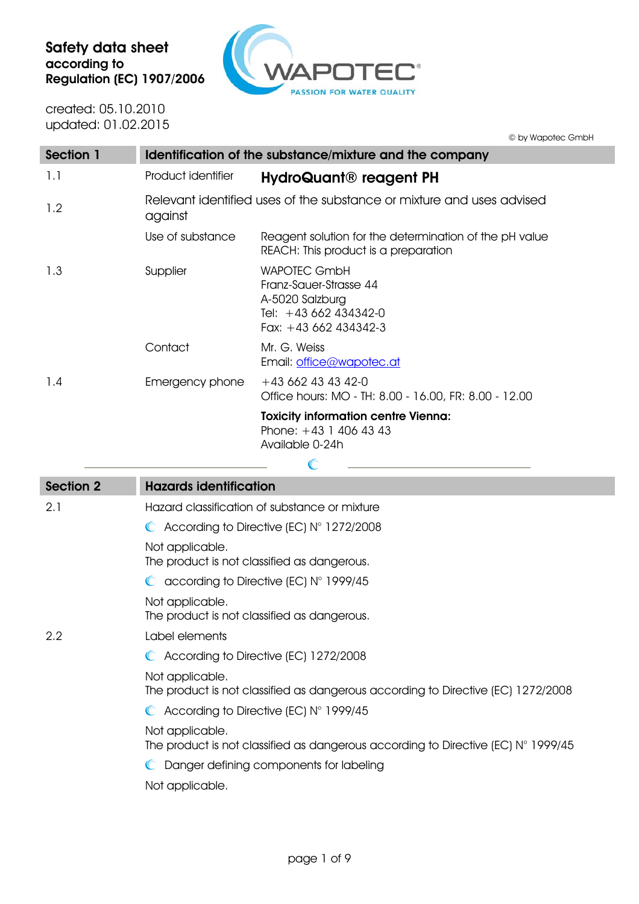$\triangle$  $\Box$ PASSION FOR WATER QUALITY

created: 05.10.2010 updated: 01.02.2015

© by Wapotec GmbH

| Section 1 | Identification of the substance/mixture and the company                          |                                                                                                                    |  |
|-----------|----------------------------------------------------------------------------------|--------------------------------------------------------------------------------------------------------------------|--|
| 1.1       | Product identifier                                                               | HydroQuant <sup>®</sup> reagent PH                                                                                 |  |
| 1.2       | Relevant identified uses of the substance or mixture and uses advised<br>against |                                                                                                                    |  |
|           | Use of substance                                                                 | Reagent solution for the determination of the pH value<br>REACH: This product is a preparation                     |  |
| 1.3       | Supplier                                                                         | <b>WAPOTEC GmbH</b><br>Franz-Sauer-Strasse 44<br>A-5020 Salzburg<br>Tel: +43 662 434342-0<br>Fax: $+43662434342-3$ |  |
|           | Contact                                                                          | Mr. G. Weiss<br>Email: office@wapotec.at                                                                           |  |
| 1.4       | Emergency phone                                                                  | $+43662434342-0$<br>Office hours: MO - TH: 8.00 - 16.00, FR: 8.00 - 12.00                                          |  |
|           |                                                                                  | <b>Toxicity information centre Vienna:</b><br>Phone: $+43$ 1 406 43 43<br>Available 0-24h                          |  |
|           |                                                                                  |                                                                                                                    |  |

| <b>Section 2</b> | <b>Hazards identification</b>                                                                                 |
|------------------|---------------------------------------------------------------------------------------------------------------|
| 2.1              | Hazard classification of substance or mixture                                                                 |
|                  | $\bullet$ According to Directive (EC) N° 1272/2008                                                            |
|                  | Not applicable.<br>The product is not classified as dangerous.                                                |
|                  | $\bullet$ according to Directive (EC) N° 1999/45                                                              |
|                  | Not applicable.<br>The product is not classified as dangerous.                                                |
| 2.2              | Label elements                                                                                                |
|                  | C According to Directive (EC) 1272/2008                                                                       |
|                  | Not applicable.<br>The product is not classified as dangerous according to Directive (EC) 1272/2008           |
|                  | $\bullet$ According to Directive (EC) N° 1999/45                                                              |
|                  | Not applicable.<br>The product is not classified as dangerous according to Directive (EC) $N^{\circ}$ 1999/45 |
|                  | C Danger defining components for labeling                                                                     |
|                  | Not applicable.                                                                                               |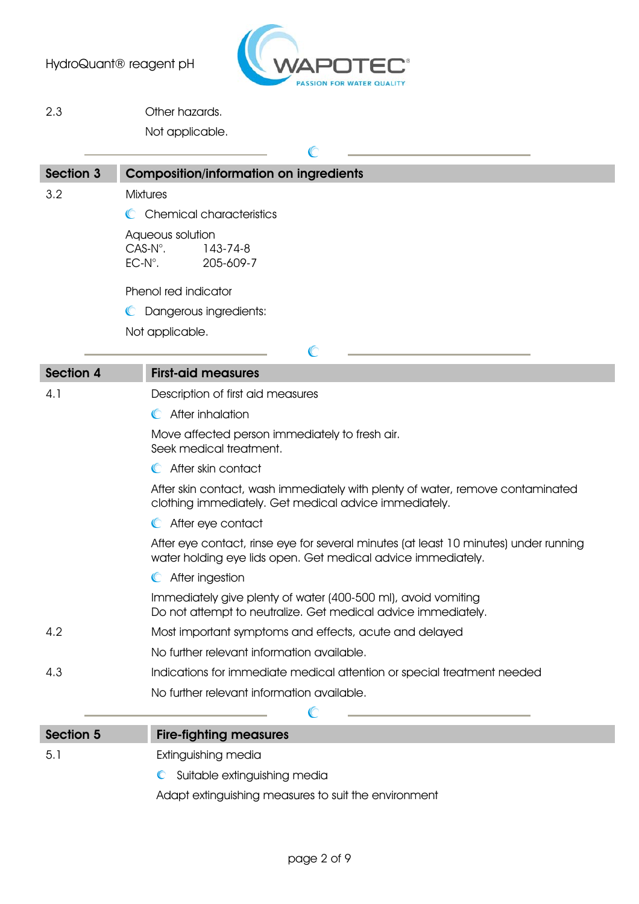

2.3 Other hazards.

Not applicable.

| <b>Section 3</b>                                                                                                                                                              | <b>Composition/information on ingredients</b>                                  |
|-------------------------------------------------------------------------------------------------------------------------------------------------------------------------------|--------------------------------------------------------------------------------|
| 3.2                                                                                                                                                                           | <b>Mixtures</b>                                                                |
|                                                                                                                                                                               | C Chemical characteristics                                                     |
|                                                                                                                                                                               | Aqueous solution<br>$CAS-N^\circ$ .<br>143-74-8<br>$EC-N^\circ$ .<br>205-609-7 |
|                                                                                                                                                                               | Phenol red indicator                                                           |
|                                                                                                                                                                               | Dangerous ingredients:<br>C                                                    |
|                                                                                                                                                                               | Not applicable.                                                                |
|                                                                                                                                                                               | $\mathbb{C}$                                                                   |
| Section 4                                                                                                                                                                     | <b>First-aid measures</b>                                                      |
| 4.1                                                                                                                                                                           | Description of first aid measures                                              |
|                                                                                                                                                                               | C After inhalation                                                             |
|                                                                                                                                                                               | Move affected person immediately to fresh air.<br>Seek medical treatment.      |
| After skin contact<br>$\mathbb{C}$<br>After skin contact, wash immediately with plenty of water, remove contaminated<br>clothing immediately. Get medical advice immediately. |                                                                                |
|                                                                                                                                                                               |                                                                                |
| After eye contact, rinse eye for several minutes (at least 10 minutes) under running<br>water holding eye lids open. Get medical advice immediately.<br>After ingestion       |                                                                                |
|                                                                                                                                                                               |                                                                                |
| 4.2                                                                                                                                                                           | Most important symptoms and effects, acute and delayed                         |
|                                                                                                                                                                               | No further relevant information available.                                     |
| 4.3                                                                                                                                                                           | Indications for immediate medical attention or special treatment needed        |
|                                                                                                                                                                               | No further relevant information available.                                     |
|                                                                                                                                                                               |                                                                                |

| Section 5 | <b>Fire-fighting measures</b>                        |
|-----------|------------------------------------------------------|
| -5.1      | Extinguishing media                                  |
|           | C Suitable extinguishing media                       |
|           | Adapt extinguishing measures to suit the environment |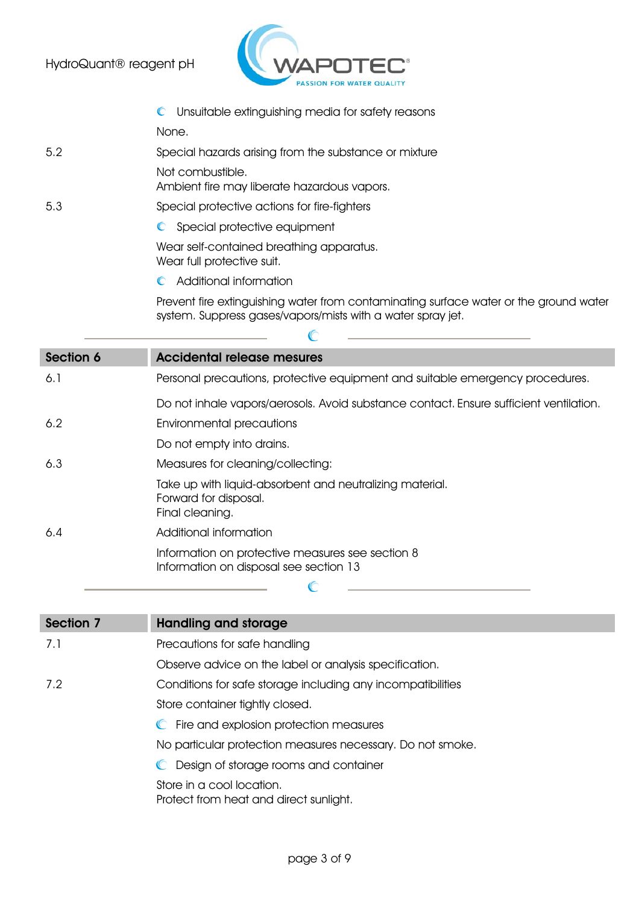

- $\mathbb{C}$ Unsuitable extinguishing media for safety reasons None. 5.2 Special hazards arising from the substance or mixture Not combustible. Ambient fire may liberate hazardous vapors. 5.3 Special protective actions for fire-fighters C Special protective equipment Wear self-contained breathing apparatus. Wear full protective suit. Additional information Prevent fire extinguishing water from contaminating surface water or the ground water system. Suppress gases/vapors/mists with a water spray jet.  $\mathbb{C}$ Section 6 **Accidental release mesures** 6.1 Personal precautions, protective equipment and suitable emergency procedures. Do not inhale vapors/aerosols. Avoid substance contact. Ensure sufficient ventilation.
- 6.2 Environmental precautions
	- Do not empty into drains.
- 6.3 Measures for cleaning/collecting:

Take up with liquid-absorbent and neutralizing material. Forward for disposal. Final cleaning.

 $\mathbb{C}$ 

6.4 Additional information

Information on protective measures see section 8 Information on disposal see section 13

| Section 7 | Handling and storage                                                |
|-----------|---------------------------------------------------------------------|
| 7.1       | Precautions for safe handling                                       |
|           | Observe advice on the label or analysis specification.              |
| 7.2       | Conditions for safe storage including any incompatibilities         |
|           | Store container tightly closed.                                     |
|           | C Fire and explosion protection measures                            |
|           | No particular protection measures necessary. Do not smoke.          |
|           | C Design of storage rooms and container                             |
|           | Store in a cool location.<br>Protect from heat and direct sunlight. |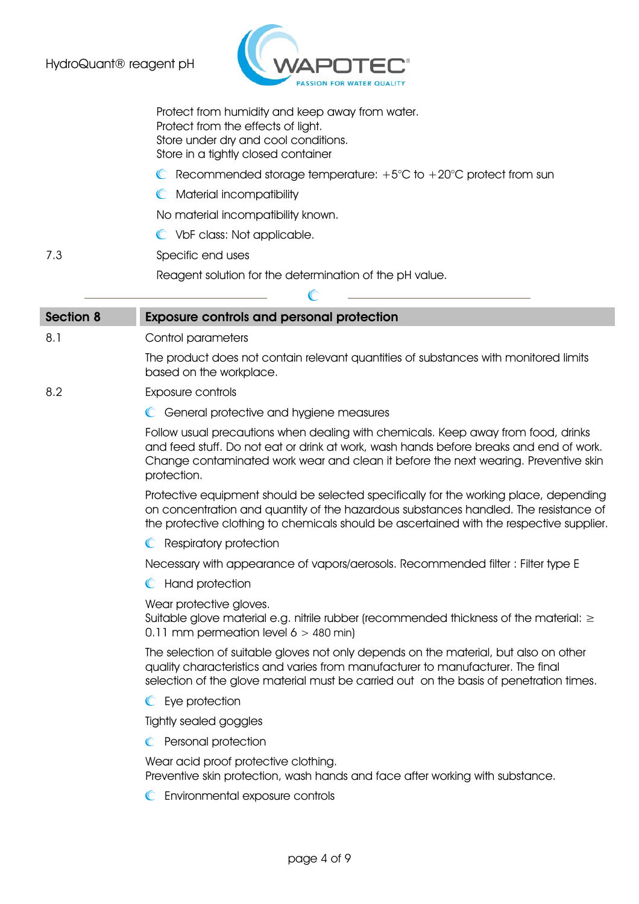

Protect from humidity and keep away from water. Protect from the effects of light. Store under dry and cool conditions. Store in a tightly closed container

- C Recommended storage temperature:  $+5^{\circ}$ C to  $+20^{\circ}$ C protect from sun
- **C** Material incompatibility

No material incompatibility known.

VbF class: Not applicable.

7.3 Specific end uses

Reagent solution for the determination of the pH value.

| C                |                                                                                                                                                                                                                                                                                   |  |  |
|------------------|-----------------------------------------------------------------------------------------------------------------------------------------------------------------------------------------------------------------------------------------------------------------------------------|--|--|
| <b>Section 8</b> | <b>Exposure controls and personal protection</b>                                                                                                                                                                                                                                  |  |  |
| 8.1              | Control parameters                                                                                                                                                                                                                                                                |  |  |
|                  | The product does not contain relevant quantities of substances with monitored limits<br>based on the workplace.                                                                                                                                                                   |  |  |
| 8.2              | Exposure controls                                                                                                                                                                                                                                                                 |  |  |
|                  | C General protective and hygiene measures                                                                                                                                                                                                                                         |  |  |
|                  | Follow usual precautions when dealing with chemicals. Keep away from food, drinks<br>and feed stuff. Do not eat or drink at work, wash hands before breaks and end of work.<br>Change contaminated work wear and clean it before the next wearing. Preventive skin<br>protection. |  |  |
|                  | Protective equipment should be selected specifically for the working place, depending<br>on concentration and quantity of the hazardous substances handled. The resistance of<br>the protective clothing to chemicals should be ascertained with the respective supplier.         |  |  |
|                  | Respiratory protection                                                                                                                                                                                                                                                            |  |  |
|                  | Necessary with appearance of vapors/aerosols. Recommended filter : Filter type E                                                                                                                                                                                                  |  |  |
|                  | Hand protection<br>$\mathbb{C}$                                                                                                                                                                                                                                                   |  |  |
|                  | Wear protective gloves.<br>Suitable glove material e.g. nitrile rubber (recommended thickness of the material: $\geq$<br>0.11 mm permeation level $6 > 480$ min)                                                                                                                  |  |  |
|                  | The selection of suitable gloves not only depends on the material, but also on other<br>quality characteristics and varies from manufacturer to manufacturer. The final<br>selection of the glove material must be carried out on the basis of penetration times.                 |  |  |
|                  | C Eye protection                                                                                                                                                                                                                                                                  |  |  |
|                  | Tightly sealed goggles                                                                                                                                                                                                                                                            |  |  |
|                  | Personal protection                                                                                                                                                                                                                                                               |  |  |
|                  | Wear acid proof protective clothing.                                                                                                                                                                                                                                              |  |  |

Preventive skin protection, wash hands and face after working with substance.

Environmental exposure controls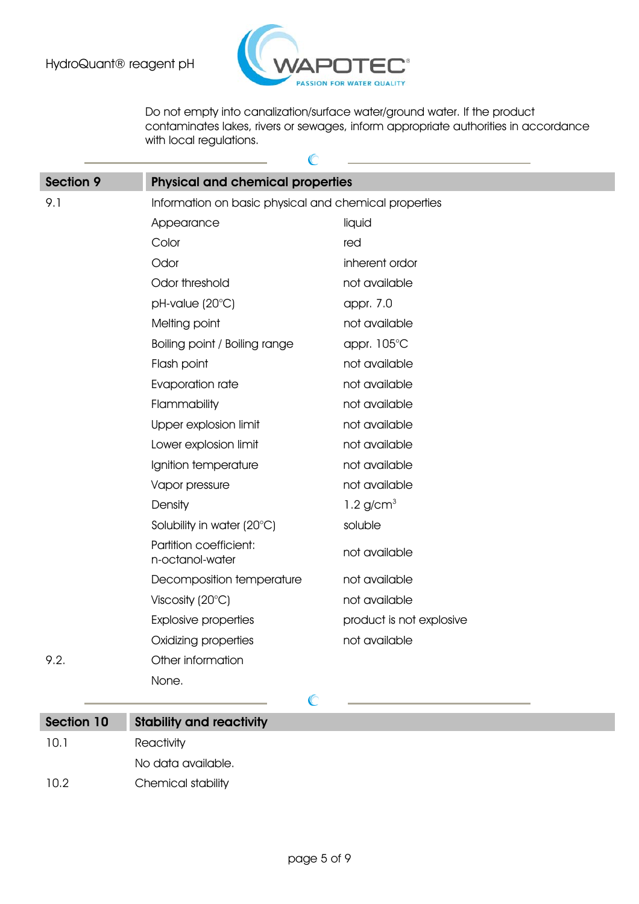

Do not empty into canalization/surface water/ground water. If the product contaminates lakes, rivers or sewages, inform appropriate authorities in accordance with local regulations.

| <b>Section 9</b> | <b>Physical and chemical properties</b>               |                          |  |
|------------------|-------------------------------------------------------|--------------------------|--|
| 9.1              | Information on basic physical and chemical properties |                          |  |
|                  | Appearance                                            | liquid                   |  |
|                  | Color                                                 | red                      |  |
|                  | Odor                                                  | inherent ordor           |  |
|                  | Odor threshold                                        | not available            |  |
|                  | pH-value (20°C)                                       | appr. 7.0                |  |
|                  | Melting point                                         | not available            |  |
|                  | Boiling point / Boiling range                         | appr. 105°C              |  |
|                  | Flash point                                           | not available            |  |
|                  | Evaporation rate                                      | not available            |  |
|                  | Flammability                                          | not available            |  |
|                  | Upper explosion limit                                 | not available            |  |
|                  | Lower explosion limit                                 | not available            |  |
|                  | Ignition temperature                                  | not available            |  |
|                  | Vapor pressure                                        | not available            |  |
|                  | Density                                               | $1.2$ g/cm <sup>3</sup>  |  |
|                  | Solubility in water (20°C)                            | soluble                  |  |
|                  | Partition coefficient:<br>n-octanol-water             | not available            |  |
|                  | Decomposition temperature                             | not available            |  |
|                  | Viscosity $(20^{\circ}C)$                             | not available            |  |
|                  | <b>Explosive properties</b>                           | product is not explosive |  |
|                  | Oxidizing properties                                  | not available            |  |
| 9.2.             | Other information                                     |                          |  |
|                  | None.                                                 |                          |  |

| Section 10 | <b>Stability and reactivity</b> |
|------------|---------------------------------|
| 10.1       | Reactivity                      |
|            | No data available.              |
| 10.2       | Chemical stability              |

 $\mathbb{C}$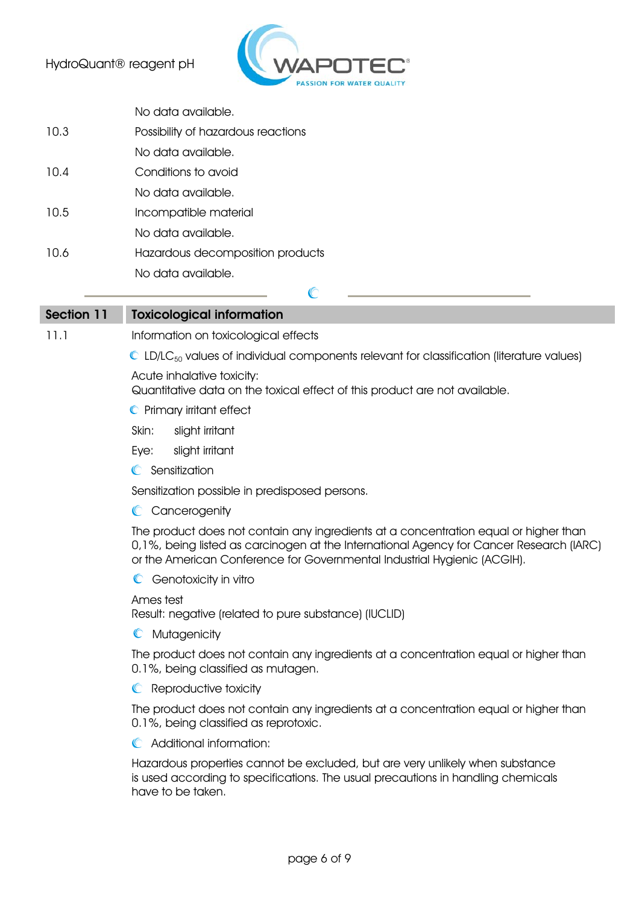

|      | No data available.                 |
|------|------------------------------------|
| 10.3 | Possibility of hazardous reactions |
|      | No data available.                 |
| 10.4 | Conditions to avoid                |
|      | No data available.                 |
| 10.5 | Incompatible material              |
|      | No data available.                 |
| 10.6 | Hazardous decomposition products   |
|      | No data available.                 |
|      |                                    |

Section 11 Toxicological information

11.1 Information on toxicological effects

 $\mathbb{C}$  LD/LC<sub>50</sub> values of individual components relevant for classification (literature values)

Acute inhalative toxicity:

Quantitative data on the toxical effect of this product are not available.

- **C** Primary irritant effect
- Skin: slight irritant
- Eye: slight irritant
- **C** Sensitization

Sensitization possible in predisposed persons.

**C** Cancerogenity

The product does not contain any ingredients at a concentration equal or higher than 0,1%, being listed as carcinogen at the International Agency for Cancer Research (IARC) or the American Conference for Governmental Industrial Hygienic (ACGIH).

**C** Genotoxicity in vitro

Ames test

Result: negative (related to pure substance) (IUCLID)

**C** Mutagenicity

The product does not contain any ingredients at a concentration equal or higher than 0.1%, being classified as mutagen.

**C** Reproductive toxicity

The product does not contain any ingredients at a concentration equal or higher than 0.1%, being classified as reprotoxic.

Additional information:

Hazardous properties cannot be excluded, but are very unlikely when substance is used according to specifications. The usual precautions in handling chemicals have to be taken.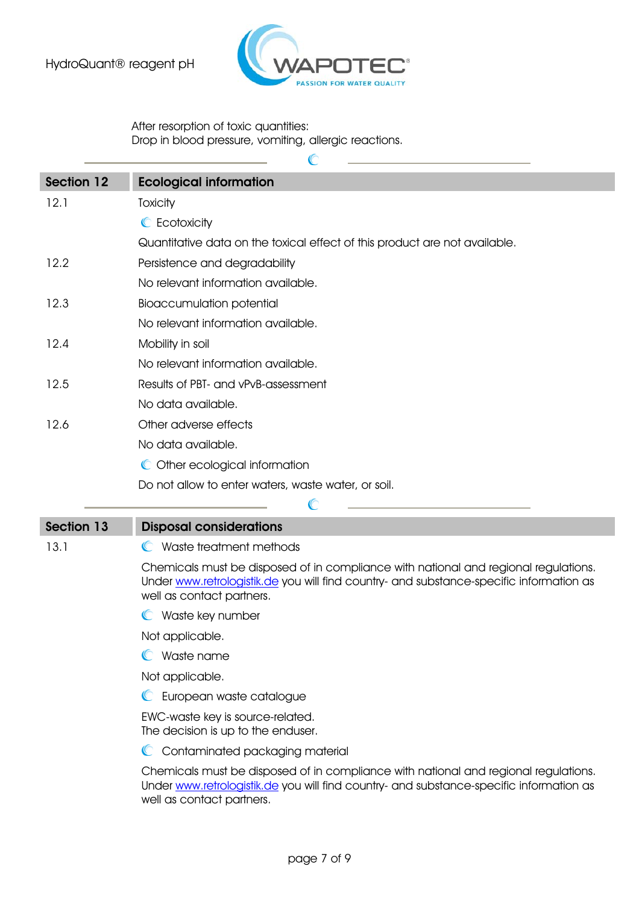

After resorption of toxic quantities: Drop in blood pressure, vomiting, allergic reactions.

| <b>Section 12</b> | <b>Ecological information</b>                                                                                                                                                                               |
|-------------------|-------------------------------------------------------------------------------------------------------------------------------------------------------------------------------------------------------------|
| 12.1              | Toxicity                                                                                                                                                                                                    |
|                   | C Ecotoxicity                                                                                                                                                                                               |
|                   | Quantitative data on the toxical effect of this product are not available.                                                                                                                                  |
| 12.2              | Persistence and degradability                                                                                                                                                                               |
|                   | No relevant information available.                                                                                                                                                                          |
| 12.3              | <b>Bioaccumulation potential</b>                                                                                                                                                                            |
|                   | No relevant information available.                                                                                                                                                                          |
| 12.4              | Mobility in soil                                                                                                                                                                                            |
|                   | No relevant information available.                                                                                                                                                                          |
| 12.5              | Results of PBT- and vPvB-assessment                                                                                                                                                                         |
|                   | No data available.                                                                                                                                                                                          |
| 12.6              | Other adverse effects                                                                                                                                                                                       |
|                   | No data available.                                                                                                                                                                                          |
|                   | C Other ecological information                                                                                                                                                                              |
|                   | Do not allow to enter waters, waste water, or soil.                                                                                                                                                         |
|                   |                                                                                                                                                                                                             |
| <b>Section 13</b> | <b>Disposal considerations</b>                                                                                                                                                                              |
| 13.1              | Waste treatment methods<br>O                                                                                                                                                                                |
|                   | Chemicals must be disposed of in compliance with national and regional regulations.<br>Under www.retrologistik.de you will find country- and substance-specific information as<br>well as contact partners. |
|                   | Waste key number                                                                                                                                                                                            |
|                   | Not applicable.                                                                                                                                                                                             |
|                   | Waste name                                                                                                                                                                                                  |
|                   | Not applicable.                                                                                                                                                                                             |
|                   | European waste catalogue                                                                                                                                                                                    |
|                   | EWC-waste key is source-related.<br>The decision is up to the enduser.                                                                                                                                      |

C Contaminated packaging material

Chemicals must be disposed of in compliance with national and regional regulations. Under www.retrologistik.de you will find country- and substance-specific information as well as contact partners.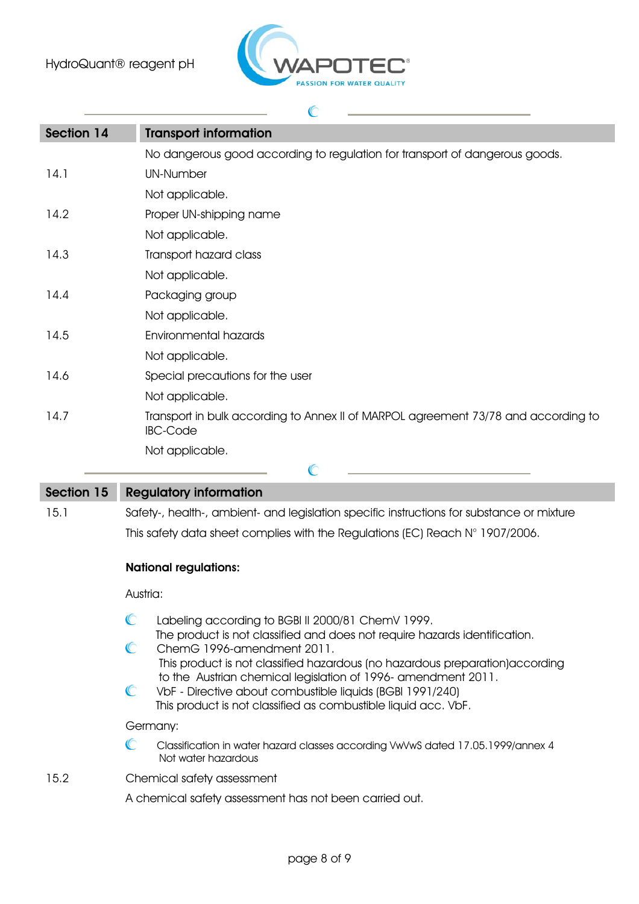

## $\mathbb{C}$ Section 14 Transport information No dangerous good according to regulation for transport of dangerous goods. 14.1 UN-Number Not applicable. 14.2 Proper UN-shipping name Not applicable. 14.3 Transport hazard class Not applicable. 14.4 Packaging group Not applicable. 14.5 Environmental hazards Not applicable. 14.6 Special precautions for the user Not applicable. 14.7 Transport in bulk according to Annex II of MARPOL agreement 73/78 and according to IBC-Code Not applicable.  $\mathbb{C}$

# Section 15 Regulatory information 15.1 Safety-, health-, ambient- and legislation specific instructions for substance or mixture This safety data sheet complies with the Regulations (EC) Reach N° 1907/2006.

### National regulations:

Austria:

- $\mathbb{C}$ Labeling according to BGBl II 2000/81 ChemV 1999. The product is not classified and does not require hazards identification.
- $\mathbb{C}$ ChemG 1996-amendment 2011. This product is not classified hazardous (no hazardous preparation)according to the Austrian chemical legislation of 1996- amendment 2011.
- $\mathbb{C}$ VbF - Directive about combustible liquids (BGBl 1991/240) This product is not classified as combustible liquid acc. VbF.

Germany:

- © Classification in water hazard classes according VwVwS dated 17.05.1999/annex 4 Not water hazardous
- 15.2 Chemical safety assessment
	- A chemical safety assessment has not been carried out.